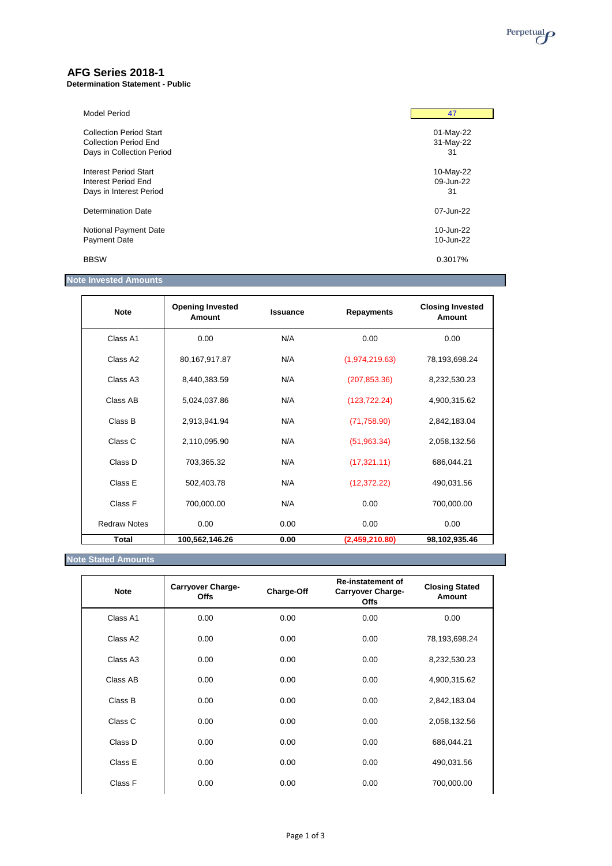

# **AFG Series 2018-1**

**Determination Statement - Public**

| Model Period                   | 47        |
|--------------------------------|-----------|
| <b>Collection Period Start</b> | 01-May-22 |
| <b>Collection Period End</b>   | 31-May-22 |
| Days in Collection Period      | 31        |
| Interest Period Start          | 10-May-22 |
| Interest Period End            | 09-Jun-22 |
| Days in Interest Period        | 31        |
| Determination Date             | 07-Jun-22 |
| Notional Payment Date          | 10-Jun-22 |
| <b>Payment Date</b>            | 10-Jun-22 |
| <b>BBSW</b>                    | 0.3017%   |

# **Note Invested Amounts**

| <b>Note</b>          | <b>Opening Invested</b><br>Amount | <b>Issuance</b> | <b>Repayments</b> | <b>Closing Invested</b><br>Amount |
|----------------------|-----------------------------------|-----------------|-------------------|-----------------------------------|
| Class A1             | 0.00                              | N/A             | 0.00              | 0.00                              |
| Class A <sub>2</sub> | 80,167,917.87                     | N/A             | (1,974,219.63)    | 78,193,698.24                     |
| Class A <sub>3</sub> | 8,440,383.59                      | N/A             | (207, 853.36)     | 8,232,530.23                      |
| Class AB             | 5,024,037.86                      | N/A             | (123, 722.24)     | 4,900,315.62                      |
| Class B              | 2,913,941.94                      | N/A             | (71, 758.90)      | 2,842,183.04                      |
| Class C              | 2,110,095.90                      | N/A             | (51, 963.34)      | 2,058,132.56                      |
| Class D              | 703,365.32                        | N/A             | (17, 321.11)      | 686,044.21                        |
| Class E              | 502,403.78                        | N/A             | (12, 372.22)      | 490,031.56                        |
| Class F              | 700,000.00                        | N/A             | 0.00              | 700,000.00                        |
| <b>Redraw Notes</b>  | 0.00                              | 0.00            | 0.00              | 0.00                              |
| <b>Total</b>         | 100,562,146.26                    | 0.00            | (2,459,210.80)    | 98,102,935.46                     |

# **Note Stated Amounts**

| <b>Note</b> | Carryover Charge-<br><b>Offs</b> | Charge-Off | <b>Re-instatement of</b><br><b>Carryover Charge-</b><br><b>Offs</b> | <b>Closing Stated</b><br>Amount |
|-------------|----------------------------------|------------|---------------------------------------------------------------------|---------------------------------|
| Class A1    | 0.00                             | 0.00       | 0.00                                                                | 0.00                            |
| Class A2    | 0.00                             | 0.00       | 0.00                                                                | 78,193,698.24                   |
| Class A3    | 0.00                             | 0.00       | 0.00                                                                | 8,232,530.23                    |
| Class AB    | 0.00                             | 0.00       | 0.00                                                                | 4,900,315.62                    |
| Class B     | 0.00                             | 0.00       | 0.00                                                                | 2,842,183.04                    |
| Class C     | 0.00                             | 0.00       | 0.00                                                                | 2,058,132.56                    |
| Class D     | 0.00                             | 0.00       | 0.00                                                                | 686,044.21                      |
| Class E     | 0.00                             | 0.00       | 0.00                                                                | 490,031.56                      |
| Class F     | 0.00                             | 0.00       | 0.00                                                                | 700,000.00                      |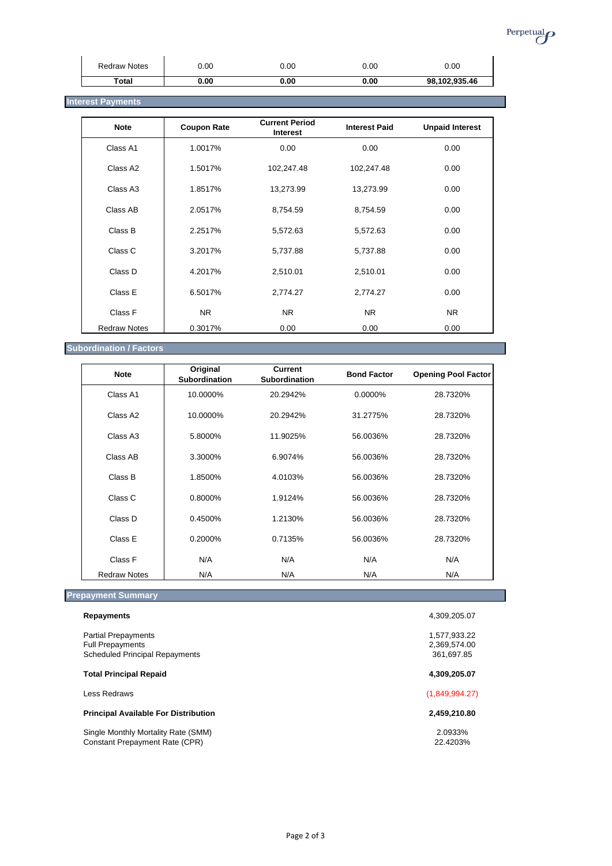

| <b>Redraw Notes</b> | 0.00 | 0.00 | 0.00 | 0.00          |
|---------------------|------|------|------|---------------|
| Total               | 0.00 | 0.00 | 0.00 | 98,102,935.46 |

# **Interest Payments** *Interest Payments*

| <b>Note</b>         | <b>Coupon Rate</b> | <b>Current Period</b><br>Interest | <b>Interest Paid</b> | <b>Unpaid Interest</b> |
|---------------------|--------------------|-----------------------------------|----------------------|------------------------|
| Class A1            | 1.0017%            | 0.00                              | 0.00                 | 0.00                   |
| Class A2            | 1.5017%            | 102,247.48                        | 102,247.48           | 0.00                   |
| Class A3            | 1.8517%            | 13,273.99                         | 13,273.99            | 0.00                   |
| Class AB            | 2.0517%            | 8,754.59                          | 8,754.59             | 0.00                   |
| Class B             | 2.2517%            | 5,572.63                          | 5,572.63             | 0.00                   |
| Class C             | 3.2017%            | 5,737.88                          | 5,737.88             | 0.00                   |
| Class D             | 4.2017%            | 2,510.01                          | 2,510.01             | 0.00                   |
| Class E             | 6.5017%            | 2,774.27                          | 2,774.27             | 0.00                   |
| Class F             | NR.                | N <sub>R</sub>                    | NR.                  | <b>NR</b>              |
| <b>Redraw Notes</b> | 0.3017%            | 0.00                              | 0.00                 | 0.00                   |

# **Subordination / Factors**

| <b>Note</b>          | Original<br><b>Subordination</b> | <b>Current</b><br><b>Subordination</b> | <b>Bond Factor</b> | <b>Opening Pool Factor</b> |
|----------------------|----------------------------------|----------------------------------------|--------------------|----------------------------|
| Class A1             | 10.0000%                         | 20.2942%                               | 0.0000%            | 28.7320%                   |
| Class A2             | 10.0000%                         | 20.2942%                               | 31.2775%           | 28.7320%                   |
| Class A <sub>3</sub> | 5.8000%                          | 11.9025%                               | 56.0036%           | 28.7320%                   |
| Class AB             | 3.3000%                          | 6.9074%                                | 56.0036%           | 28.7320%                   |
| Class B              | 1.8500%                          | 4.0103%                                | 56.0036%           | 28.7320%                   |
| Class C              | 0.8000%                          | 1.9124%                                | 56.0036%           | 28.7320%                   |
| Class D              | 0.4500%                          | 1.2130%                                | 56.0036%           | 28.7320%                   |
| Class E              | $0.2000\%$                       | 0.7135%                                | 56.0036%           | 28.7320%                   |
| Class F              | N/A                              | N/A                                    | N/A                | N/A                        |
| <b>Redraw Notes</b>  | N/A                              | N/A                                    | N/A                | N/A                        |

# **Prepayment Summary**

| <b>Repayments</b>                                                                              | 4,309,205.07                               |
|------------------------------------------------------------------------------------------------|--------------------------------------------|
| <b>Partial Prepayments</b><br><b>Full Prepayments</b><br><b>Scheduled Principal Repayments</b> | 1,577,933.22<br>2,369,574.00<br>361.697.85 |
| <b>Total Principal Repaid</b>                                                                  | 4,309,205.07                               |
| Less Redraws                                                                                   | (1,849,994.27)                             |
| <b>Principal Available For Distribution</b>                                                    | 2,459,210.80                               |
| Single Monthly Mortality Rate (SMM)<br><b>Constant Prepayment Rate (CPR)</b>                   | 2.0933%<br>22.4203%                        |